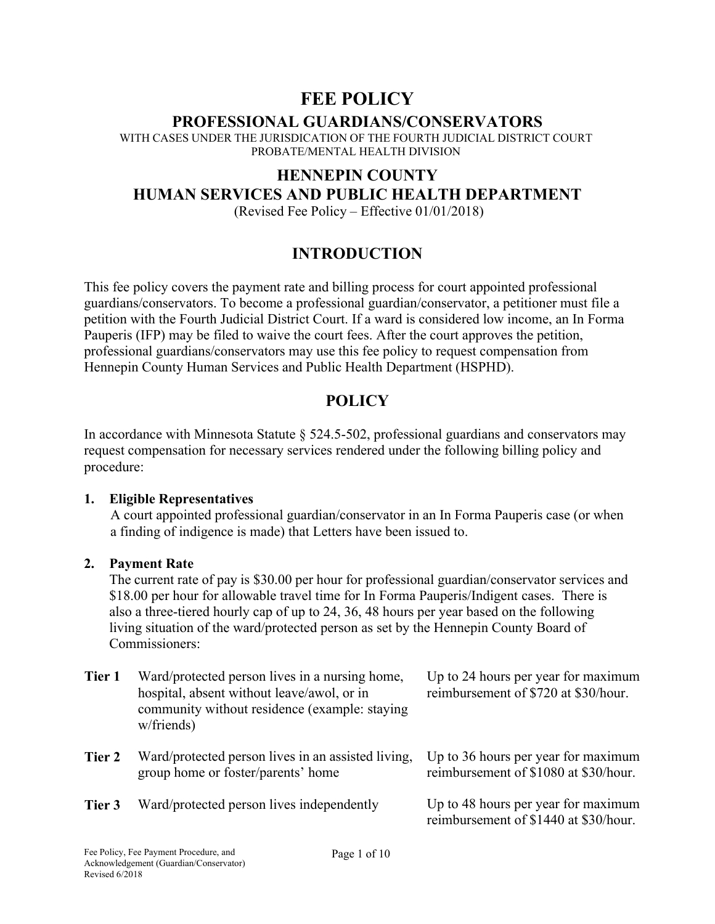# **FEE POLICY**

### **PROFESSIONAL GUARDIANS/CONSERVATORS**

WITH CASES UNDER THE JURISDICATION OF THE FOURTH JUDICIAL DISTRICT COURT PROBATE/MENTAL HEALTH DIVISION

## **HENNEPIN COUNTY HUMAN SERVICES AND PUBLIC HEALTH DEPARTMENT**

(Revised Fee Policy – Effective 01/01/2018)

## **INTRODUCTION**

This fee policy covers the payment rate and billing process for court appointed professional guardians/conservators. To become a professional guardian/conservator, a petitioner must file a petition with the Fourth Judicial District Court. If a ward is considered low income, an In Forma Pauperis (IFP) may be filed to waive the court fees. After the court approves the petition, professional guardians/conservators may use this fee policy to request compensation from Hennepin County Human Services and Public Health Department (HSPHD).

## **POLICY**

In accordance with Minnesota Statute  $\S$  524.5-502, professional guardians and conservators may request compensation for necessary services rendered under the following billing policy and procedure:

#### **1. Eligible Representatives**

A court appointed professional guardian/conservator in an In Forma Pauperis case (or when a finding of indigence is made) that Letters have been issued to.

#### **2. Payment Rate**

The current rate of pay is \$30.00 per hour for professional guardian/conservator services and \$18.00 per hour for allowable travel time for In Forma Pauperis/Indigent cases. There is also a three-tiered hourly cap of up to 24, 36, 48 hours per year based on the following living situation of the ward/protected person as set by the Hennepin County Board of Commissioners:

| Tier 1 | Ward/protected person lives in a nursing home,<br>hospital, absent without leave/awol, or in<br>community without residence (example: staying<br>w/friends) | Up to 24 hours per year for maximum<br>reimbursement of \$720 at \$30/hour.  |
|--------|-------------------------------------------------------------------------------------------------------------------------------------------------------------|------------------------------------------------------------------------------|
| Tier 2 | Ward/protected person lives in an assisted living,<br>group home or foster/parents' home                                                                    | Up to 36 hours per year for maximum<br>reimbursement of \$1080 at \$30/hour. |
| Tier 3 | Ward/protected person lives independently                                                                                                                   | Up to 48 hours per year for maximum<br>reimbursement of \$1440 at \$30/hour. |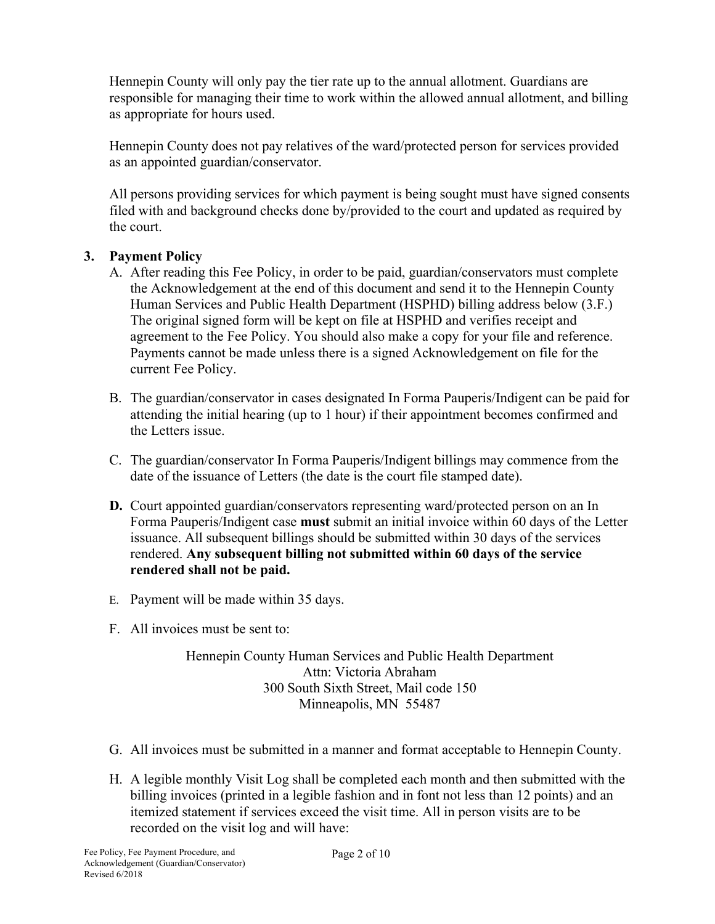Hennepin County will only pay the tier rate up to the annual allotment. Guardians are responsible for managing their time to work within the allowed annual allotment, and billing as appropriate for hours used.

Hennepin County does not pay relatives of the ward/protected person for services provided as an appointed guardian/conservator.

All persons providing services for which payment is being sought must have signed consents filed with and background checks done by/provided to the court and updated as required by the court.

### **3. Payment Policy**

- A. After reading this Fee Policy, in order to be paid, guardian/conservators must complete the Acknowledgement at the end of this document and send it to the Hennepin County Human Services and Public Health Department (HSPHD) billing address below (3.F.) The original signed form will be kept on file at HSPHD and verifies receipt and agreement to the Fee Policy. You should also make a copy for your file and reference. Payments cannot be made unless there is a signed Acknowledgement on file for the current Fee Policy.
- B. The guardian/conservator in cases designated In Forma Pauperis/Indigent can be paid for attending the initial hearing (up to 1 hour) if their appointment becomes confirmed and the Letters issue.
- C. The guardian/conservator In Forma Pauperis/Indigent billings may commence from the date of the issuance of Letters (the date is the court file stamped date).
- **D.** Court appointed guardian/conservators representing ward/protected person on an In Forma Pauperis/Indigent case **must** submit an initial invoice within 60 days of the Letter issuance. All subsequent billings should be submitted within 30 days of the services rendered. **Any subsequent billing not submitted within 60 days of the service rendered shall not be paid.**
- E. Payment will be made within 35 days.
- F. All invoices must be sent to:

Hennepin County Human Services and Public Health Department Attn: Victoria Abraham 300 South Sixth Street, Mail code 150 Minneapolis, MN 55487

- G. All invoices must be submitted in a manner and format acceptable to Hennepin County.
- H. A legible monthly Visit Log shall be completed each month and then submitted with the billing invoices (printed in a legible fashion and in font not less than 12 points) and an itemized statement if services exceed the visit time. All in person visits are to be recorded on the visit log and will have: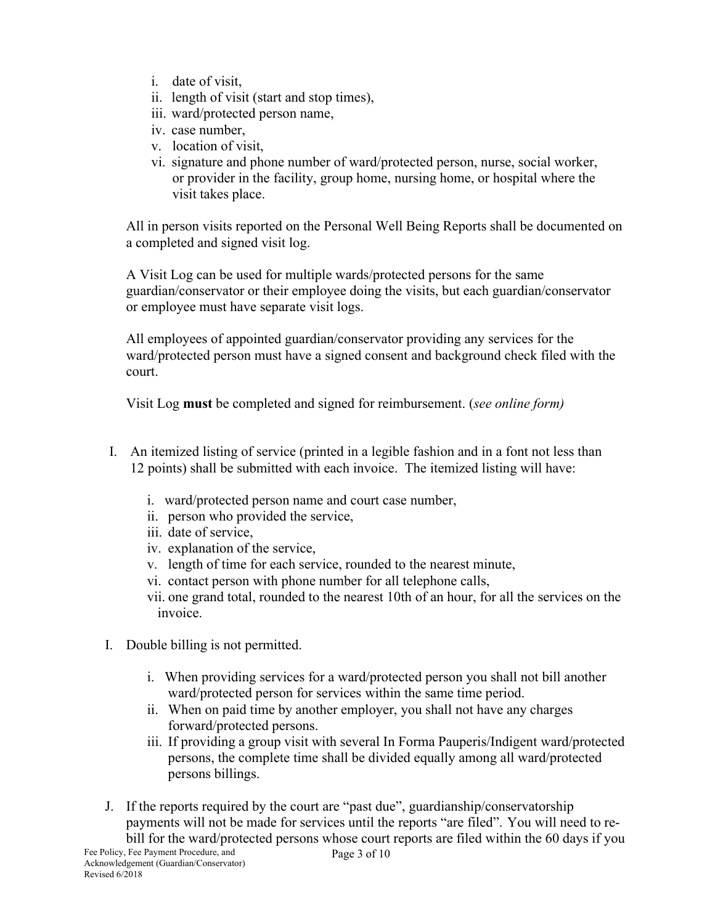- i. date of visit,
- ii. length of visit (start and stop times),
- iii. ward/protected person name,
- iv. case number,
- v. location of visit,
- vi. signature and phone number of ward/protected person, nurse, social worker, or provider in the facility, group home, nursing home, or hospital where the visit takes place.

All in person visits reported on the Personal Well Being Reports shall be documented on a completed and signed visit log.

A Visit Log can be used for multiple wards/protected persons for the same guardian/conservator or their employee doing the visits, but each guardian/conservator or employee must have separate visit logs.

All employees of appointed guardian/conservator providing any services for the ward/protected person must have a signed consent and background check filed with the court.

Visit Log **must** be completed and signed for reimbursement. (*see online form)*

- I. An itemized listing of service (printed in a legible fashion and in a font not less than 12 points) shall be submitted with each invoice. The itemized listing will have:
	- i. ward/protected person name and court case number,
	- ii. person who provided the service,
	- iii. date of service,
	- iv. explanation of the service,
	- v. length of time for each service, rounded to the nearest minute,
	- vi. contact person with phone number for all telephone calls,
	- vii. one grand total, rounded to the nearest 10th of an hour, for all the services on the invoice.
- I. Double billing is not permitted.
	- i. When providing services for a ward/protected person you shall not bill another ward/protected person for services within the same time period.
	- ii. When on paid time by another employer, you shall not have any charges forward/protected persons.
	- iii. If providing a group visit with several In Forma Pauperis/Indigent ward/protected persons, the complete time shall be divided equally among all ward/protected persons billings.
- J. If the reports required by the court are "past due", guardianship/conservatorship payments will not be made for services until the reports "are filed". You will need to rebill for the ward/protected persons whose court reports are filed within the 60 days if you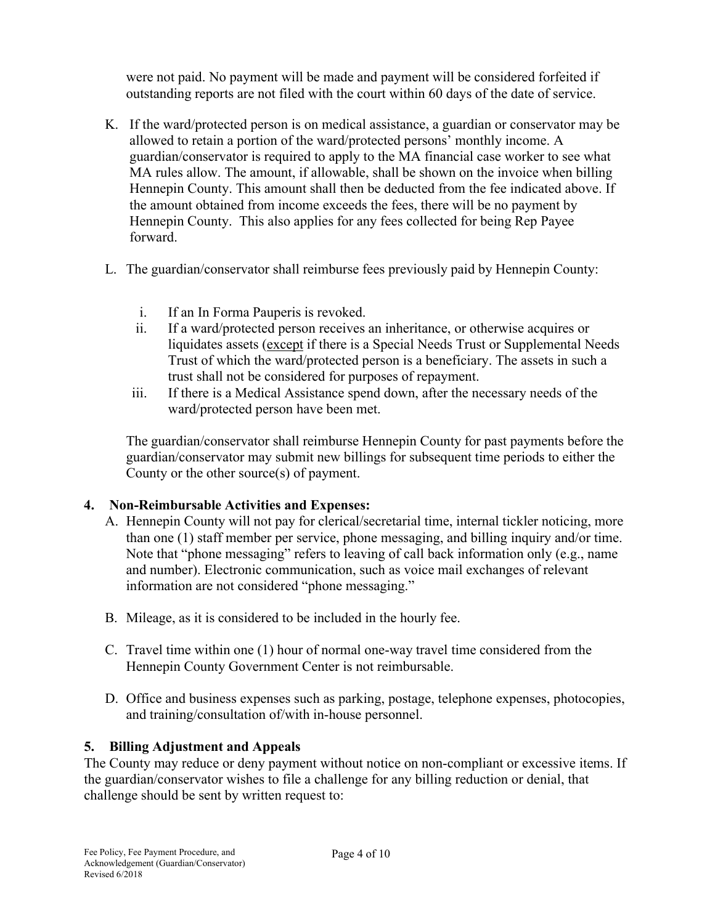were not paid. No payment will be made and payment will be considered forfeited if outstanding reports are not filed with the court within 60 days of the date of service.

- K. If the ward/protected person is on medical assistance, a guardian or conservator may be allowed to retain a portion of the ward/protected persons' monthly income. A guardian/conservator is required to apply to the MA financial case worker to see what MA rules allow. The amount, if allowable, shall be shown on the invoice when billing Hennepin County. This amount shall then be deducted from the fee indicated above. If the amount obtained from income exceeds the fees, there will be no payment by Hennepin County. This also applies for any fees collected for being Rep Payee forward.
- L. The guardian/conservator shall reimburse fees previously paid by Hennepin County:
	- i. If an In Forma Pauperis is revoked.
	- ii. If a ward/protected person receives an inheritance, or otherwise acquires or liquidates assets (except if there is a Special Needs Trust or Supplemental Needs Trust of which the ward/protected person is a beneficiary. The assets in such a trust shall not be considered for purposes of repayment.
	- iii. If there is a Medical Assistance spend down, after the necessary needs of the ward/protected person have been met.

The guardian/conservator shall reimburse Hennepin County for past payments before the guardian/conservator may submit new billings for subsequent time periods to either the County or the other source(s) of payment.

#### **4. Non-Reimbursable Activities and Expenses:**

- A. Hennepin County will not pay for clerical/secretarial time, internal tickler noticing, more than one (1) staff member per service, phone messaging, and billing inquiry and/or time. Note that "phone messaging" refers to leaving of call back information only (e.g., name and number). Electronic communication, such as voice mail exchanges of relevant information are not considered "phone messaging."
- B. Mileage, as it is considered to be included in the hourly fee.
- C. Travel time within one (1) hour of normal one-way travel time considered from the Hennepin County Government Center is not reimbursable.
- D. Office and business expenses such as parking, postage, telephone expenses, photocopies, and training/consultation of/with in-house personnel.

### **5. Billing Adjustment and Appeals**

The County may reduce or deny payment without notice on non-compliant or excessive items. If the guardian/conservator wishes to file a challenge for any billing reduction or denial, that challenge should be sent by written request to: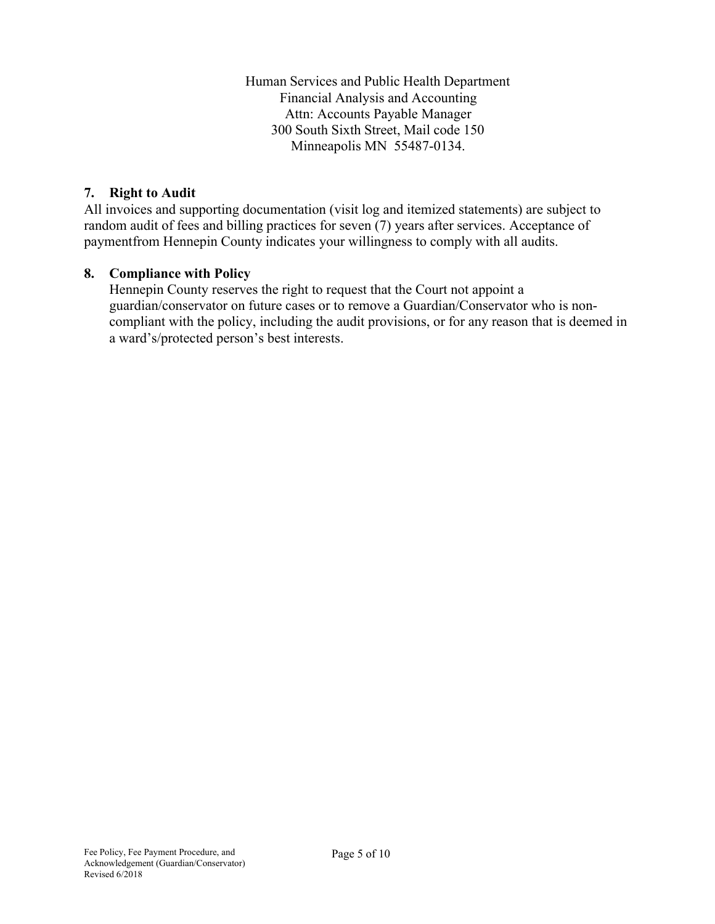Human Services and Public Health Department Financial Analysis and Accounting Attn: Accounts Payable Manager 300 South Sixth Street, Mail code 150 Minneapolis MN 55487-0134.

#### **7. Right to Audit**

All invoices and supporting documentation (visit log and itemized statements) are subject to random audit of fees and billing practices for seven (7) years after services. Acceptance of paymentfrom Hennepin County indicates your willingness to comply with all audits.

#### **8. Compliance with Policy**

Hennepin County reserves the right to request that the Court not appoint a guardian/conservator on future cases or to remove a Guardian/Conservator who is noncompliant with the policy, including the audit provisions, or for any reason that is deemed in a ward's/protected person's best interests.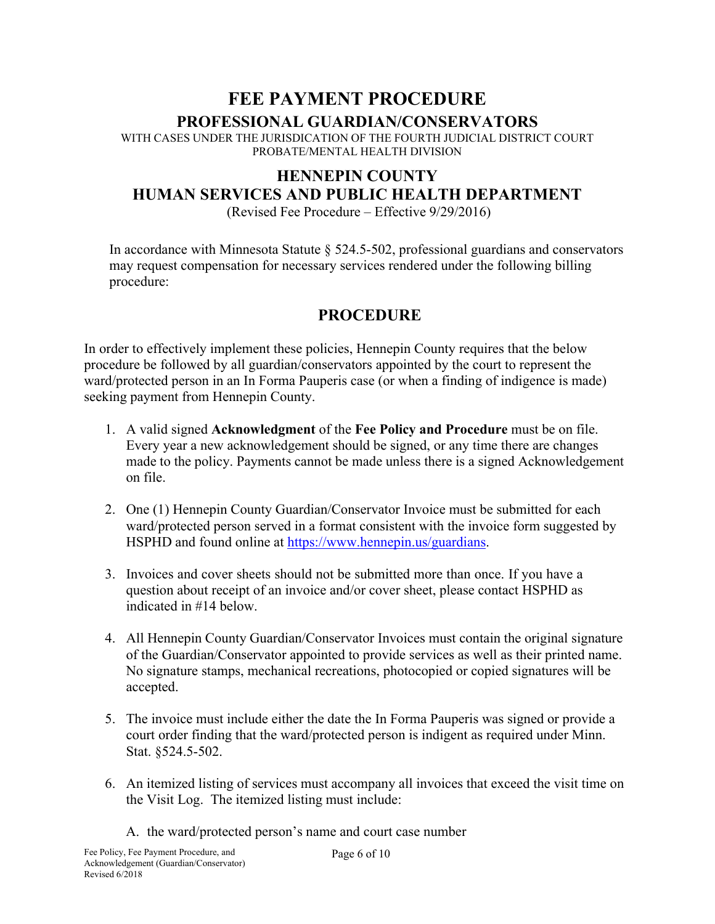# **FEE PAYMENT PROCEDURE PROFESSIONAL GUARDIAN/CONSERVATORS**

WITH CASES UNDER THE JURISDICATION OF THE FOURTH JUDICIAL DISTRICT COURT PROBATE/MENTAL HEALTH DIVISION

# **HENNEPIN COUNTY HUMAN SERVICES AND PUBLIC HEALTH DEPARTMENT**

(Revised Fee Procedure – Effective 9/29/2016)

In accordance with Minnesota Statute § 524.5-502, professional guardians and conservators may request compensation for necessary services rendered under the following billing procedure:

# **PROCEDURE**

In order to effectively implement these policies, Hennepin County requires that the below procedure be followed by all guardian/conservators appointed by the court to represent the ward/protected person in an In Forma Pauperis case (or when a finding of indigence is made) seeking payment from Hennepin County.

- 1. A valid signed **Acknowledgment** of the **Fee Policy and Procedure** must be on file. Every year a new acknowledgement should be signed, or any time there are changes made to the policy. Payments cannot be made unless there is a signed Acknowledgement on file.
- 2. One (1) Hennepin County Guardian/Conservator Invoice must be submitted for each ward/protected person served in a format consistent with the invoice form suggested by HSPHD and found online at [https://www.hennepin.us/guardians.](https://www.hennepin.us/guardians)
- 3. Invoices and cover sheets should not be submitted more than once. If you have a question about receipt of an invoice and/or cover sheet, please contact HSPHD as indicated in #14 below.
- 4. All Hennepin County Guardian/Conservator Invoices must contain the original signature of the Guardian/Conservator appointed to provide services as well as their printed name. No signature stamps, mechanical recreations, photocopied or copied signatures will be accepted.
- 5. The invoice must include either the date the In Forma Pauperis was signed or provide a court order finding that the ward/protected person is indigent as required under Minn. Stat. §524.5-502.
- 6. An itemized listing of services must accompany all invoices that exceed the visit time on the Visit Log. The itemized listing must include:
	- A. the ward/protected person's name and court case number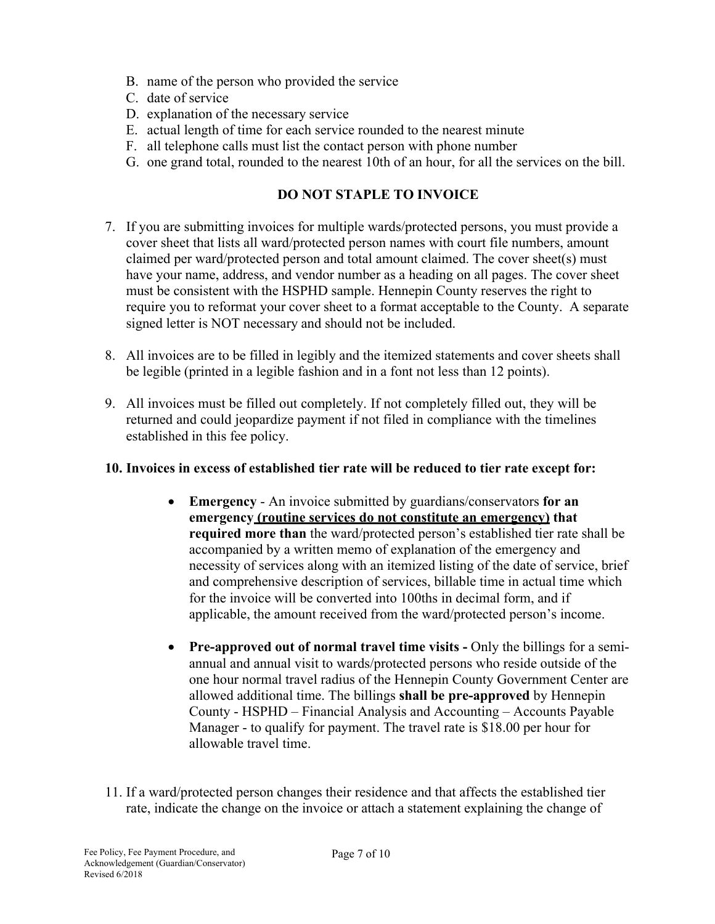- B. name of the person who provided the service
- C. date of service
- D. explanation of the necessary service
- E. actual length of time for each service rounded to the nearest minute
- F. all telephone calls must list the contact person with phone number
- G. one grand total, rounded to the nearest 10th of an hour, for all the services on the bill.

## **DO NOT STAPLE TO INVOICE**

- 7. If you are submitting invoices for multiple wards/protected persons, you must provide a cover sheet that lists all ward/protected person names with court file numbers, amount claimed per ward/protected person and total amount claimed. The cover sheet(s) must have your name, address, and vendor number as a heading on all pages. The cover sheet must be consistent with the HSPHD sample. Hennepin County reserves the right to require you to reformat your cover sheet to a format acceptable to the County. A separate signed letter is NOT necessary and should not be included.
- 8. All invoices are to be filled in legibly and the itemized statements and cover sheets shall be legible (printed in a legible fashion and in a font not less than 12 points).
- 9. All invoices must be filled out completely. If not completely filled out, they will be returned and could jeopardize payment if not filed in compliance with the timelines established in this fee policy.

### **10. Invoices in excess of established tier rate will be reduced to tier rate except for:**

- **Emergency**  An invoice submitted by guardians/conservators **for an emergency (routine services do not constitute an emergency) that required more than** the ward/protected person's established tier rate shall be accompanied by a written memo of explanation of the emergency and necessity of services along with an itemized listing of the date of service, brief and comprehensive description of services, billable time in actual time which for the invoice will be converted into 100ths in decimal form, and if applicable, the amount received from the ward/protected person's income.
- **Pre-approved out of normal travel time visits -** Only the billings for a semiannual and annual visit to wards/protected persons who reside outside of the one hour normal travel radius of the Hennepin County Government Center are allowed additional time. The billings **shall be pre-approved** by Hennepin County - HSPHD – Financial Analysis and Accounting – Accounts Payable Manager - to qualify for payment. The travel rate is \$18.00 per hour for allowable travel time.
- 11. If a ward/protected person changes their residence and that affects the established tier rate, indicate the change on the invoice or attach a statement explaining the change of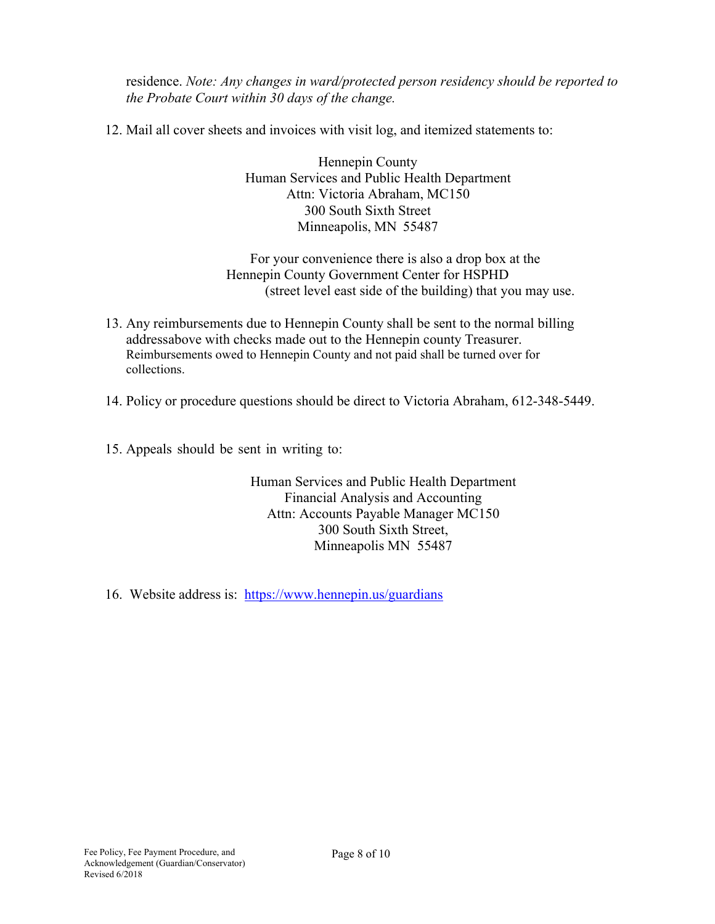residence. *Note: Any changes in ward/protected person residency should be reported to the Probate Court within 30 days of the change.*

12. Mail all cover sheets and invoices with visit log, and itemized statements to:

Hennepin County Human Services and Public Health Department Attn: Victoria Abraham, MC150 300 South Sixth Street Minneapolis, MN 55487

For your convenience there is also a drop box at the Hennepin County Government Center for HSPHD (street level east side of the building) that you may use.

- 13. Any reimbursements due to Hennepin County shall be sent to the normal billing addressabove with checks made out to the Hennepin county Treasurer. Reimbursements owed to Hennepin County and not paid shall be turned over for collections.
- 14. Policy or procedure questions should be direct to Victoria Abraham, 612-348-5449.
- 15. Appeals should be sent in writing to:

Human Services and Public Health Department Financial Analysis and Accounting Attn: Accounts Payable Manager MC150 300 South Sixth Street, Minneapolis MN 55487

16. Website address is: <https://www.hennepin.us/guardians>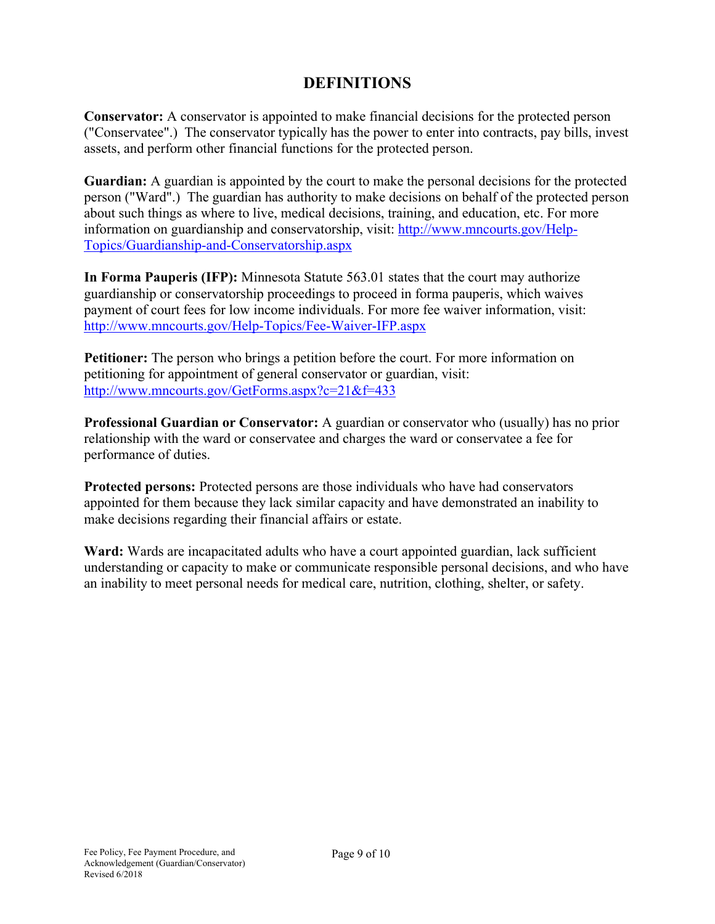# **DEFINITIONS**

**Conservator:** A conservator is appointed to make financial decisions for the protected person ("Conservatee".) The conservator typically has the power to enter into contracts, pay bills, invest assets, and perform other financial functions for the protected person.

**Guardian:** A guardian is appointed by the court to make the personal decisions for the protected person ("Ward".) The guardian has authority to make decisions on behalf of the protected person about such things as where to live, medical decisions, training, and education, etc. For more information on guardianship and conservatorship, visit: [http://www.mncourts.gov/Help-](http://www.mncourts.gov/Help-Topics/Guardianship-and-Conservatorship.aspx)[Topics/Guardianship-and-Conservatorship.aspx](http://www.mncourts.gov/Help-Topics/Guardianship-and-Conservatorship.aspx)

**In Forma Pauperis (IFP):** Minnesota Statute 563.01 states that the court may authorize guardianship or conservatorship proceedings to proceed in forma pauperis, which waives payment of court fees for low income individuals. For more fee waiver information, visit: <http://www.mncourts.gov/Help-Topics/Fee-Waiver-IFP.aspx>

**Petitioner:** The person who brings a petition before the court. For more information on petitioning for appointment of general conservator or guardian, visit: <http://www.mncourts.gov/GetForms.aspx?c=21&f=433>

**Professional Guardian or Conservator:** A guardian or conservator who (usually) has no prior relationship with the ward or conservatee and charges the ward or conservatee a fee for performance of duties.

**Protected persons:** Protected persons are those individuals who have had conservators appointed for them because they lack similar capacity and have demonstrated an inability to make decisions regarding their financial affairs or estate.

**Ward:** Wards are incapacitated adults who have a court appointed guardian, lack sufficient understanding or capacity to make or communicate responsible personal decisions, and who have an inability to meet personal needs for medical care, nutrition, clothing, shelter, or safety.